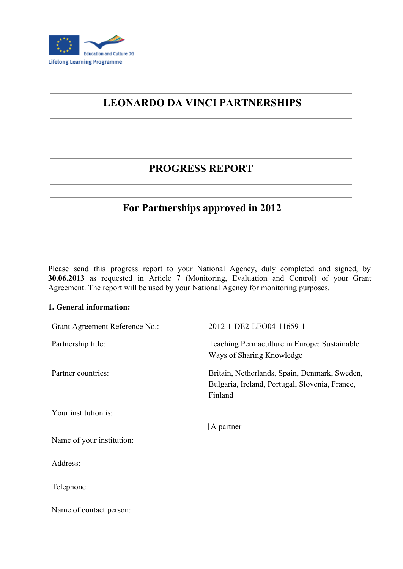

# **LEONARDO DA VINCI PARTNERSHIPS**

## **PROGRESS REPORT**

## **For Partnerships approved in 2012**

Please send this progress report to your National Agency, duly completed and signed, by **30.06.2013** as requested in Article 7 (Monitoring, Evaluation and Control) of your Grant Agreement. The report will be used by your National Agency for monitoring purposes.

#### **1. General information:**

| Grant Agreement Reference No.: | 2012-1-DE2-LEO04-11659-1                                                                                   |
|--------------------------------|------------------------------------------------------------------------------------------------------------|
| Partnership title:             | Teaching Permaculture in Europe: Sustainable<br>Ways of Sharing Knowledge                                  |
| Partner countries:             | Britain, Netherlands, Spain, Denmark, Sweden,<br>Bulgaria, Ireland, Portugal, Slovenia, France,<br>Finland |
| Your institution is:           |                                                                                                            |
|                                | $\uparrow$ A partner                                                                                       |
| Name of your institution:      |                                                                                                            |
| Address:                       |                                                                                                            |
| Telephone:                     |                                                                                                            |
| Name of contact person:        |                                                                                                            |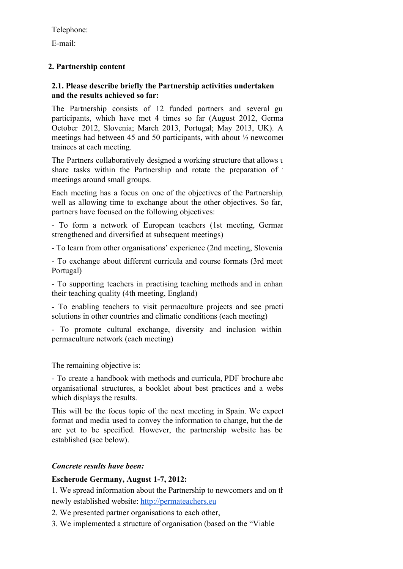Telephone:

E-mail:

## **2. Partnership content**

#### **2.1. Please describe briefly the Partnership activities undertaken and the results achieved so far:**

The Partnership consists of 12 funded partners and several gu participants, which have met 4 times so far (August 2012, Germa October 2012, Slovenia; March 2013, Portugal; May 2013, UK). All meetings had between 45 and 50 participants, with about ¼ newcomers trainees at each meeting.

The Partners collaboratively designed a working structure that allows  $\tau$ share tasks within the Partnership and rotate the preparation of meetings around small groups.

Each meeting has a focus on one of the objectives of the Partnership, well as allowing time to exchange about the other objectives. So far, partners have focused on the following objectives:

- To form a network of European teachers (1st meeting, German strengthened and diversified at subsequent meetings)

To learn from other organisations' experience (2nd meeting, Slovenia)

- To exchange about different curricula and course formats (3rd meet) Portugal)

- To supporting teachers in practising teaching methods and in enhan their teaching quality (4th meeting, England)

- To enabling teachers to visit permaculture projects and see practi solutions in other countries and climatic conditions (each meeting)

 To promote cultural exchange, diversity and inclusion within permaculture network (each meeting)

The remaining objective is:

- To create a handbook with methods and curricula, PDF brochure about organisational structures, a booklet about best practices and a webs which displays the results.

This will be the focus topic of the next meeting in Spain. We expect format and media used to convey the information to change, but the de are yet to be specified. However, the partnership website has be established (see below).

#### *Concrete results have been:*

#### **Escherode Germany, August 17, 2012:**

1. We spread information about the Partnership to newcomers and on the newly established website: [http://permateachers.eu](http://www.google.com/url?q=http%3A%2F%2Fpermateachers.eu&sa=D&sntz=1&usg=AFQjCNG9eRCPr3w5LKvKnjDcitYVFXzI4Q)

2. We presented partner organisations to each other,

3. We implemented a structure of organisation (based on the "Viable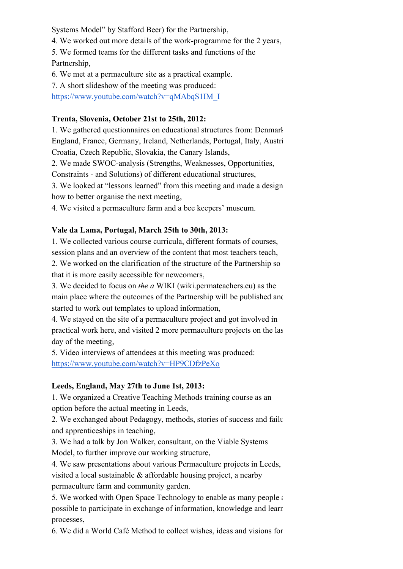Systems Model" by Stafford Beer) for the Partnership,

4. We worked out more details of the work-programme for the 2 years,

5. We formed teams for the different tasks and functions of the Partnership,

6. We met at a permaculture site as a practical example.

7. A short slideshow of the meeting was produced:

[https://www.youtube.com/watch?v=qMAbqS1IM\\_I](https://www.youtube.com/watch?v=qMAbqS1IM_I)

### **Trenta, Slovenia, October 21st to 25th, 2012:**

1. We gathered questionnaires on educational structures from: Denmarl England, France, Germany, Ireland, Netherlands, Portugal, Italy, Austri Croatia, Czech Republic, Slovakia, the Canary Islands,

2. We made SWOC-analysis (Strengths, Weaknesses, Opportunities,

Constraints - and Solutions) of different educational structures,

3. We looked at "lessons learned" from this meeting and made a design how to better organise the next meeting,

4. We visited a permaculture farm and a bee keepers' museum.

## **Vale da Lama, Portugal, March 25th to 30th, 2013:**

1. We collected various course curricula, different formats of courses, session plans and an overview of the content that most teachers teach,

2. We worked on the clarification of the structure of the Partnership so that it is more easily accessible for newcomers,

3. We decided to focus on *the a* WIKI (wiki.permateachers.eu) as the main place where the outcomes of the Partnership will be published and started to work out templates to upload information,

4. We stayed on the site of a permaculture project and got involved in practical work here, and visited 2 more permaculture projects on the last day of the meeting,

5. Video interviews of attendees at this meeting was produced: <https://www.youtube.com/watch?v=HP9CDfzPeXo>

#### **Leeds, England, May 27th to June 1st, 2013:**

1. We organized a Creative Teaching Methods training course as an option before the actual meeting in Leeds,

2. We exchanged about Pedagogy, methods, stories of success and failure and apprenticeships in teaching,

3. We had a talk by Jon Walker, consultant, on the Viable Systems Model, to further improve our working structure,

4. We saw presentations about various Permaculture projects in Leeds, visited a local sustainable & affordable housing project, a nearby permaculture farm and community garden.

5. We worked with Open Space Technology to enable as many people as possible to participate in exchange of information, knowledge and learning processes,

6. We did a World Café Method to collect wishes, ideas and visions for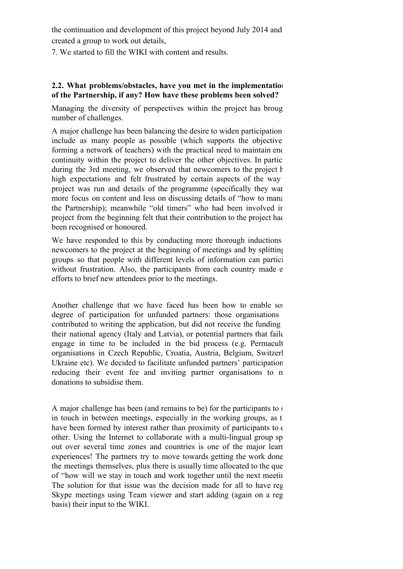the continuation and development of this project beyond July 2014 and created a group to work out details,

7. We started to fill the WIKI with content and results.

#### **2.2. What problems/obstacles, have you met in the implementation of the Partnership, if any? How have these problems been solved?**

Managing the diversity of perspectives within the project has brought number of challenges.

A major challenge has been balancing the desire to widen participation include as many people as possible (which supports the objective forming a network of teachers) with the practical need to maintain enough continuity within the project to deliver the other objectives. In partic during the 3rd meeting, we observed that newcomers to the project h high expectations and felt frustrated by certain aspects of the way project was run and details of the programme (specifically they want more focus on content and less on discussing details of "how to management" the Partnership); meanwhile "old timers" who had been involved in project from the beginning felt that their contribution to the project had been recognised or honoured.

We have responded to this by conducting more thorough inductions newcomers to the project at the beginning of meetings and by splitting groups so that people with different levels of information can participate without frustration. Also, the participants from each country made e. efforts to brief new attendees prior to the meetings.

Another challenge that we have faced has been how to enable some degree of participation for unfunded partners: those organisations contributed to writing the application, but did not receive the funding their national agency (Italy and Latvia), or potential partners that failed engage in time to be included in the bid process (e.g. Permacult organisations in Czech Republic, Croatia, Austria, Belgium, Switzerl Ukraine etc). We decided to facilitate unfunded partners' participation reducing their event fee and inviting partner organisations to n donations to subsidise them.

A major challenge has been (and remains to be) for the participants to  $s$ in touch in between meetings, especially in the working groups, as the have been formed by interest rather than proximity of participants to  $\epsilon$ other. Using the Internet to collaborate with a multi-lingual group sp out over several time zones and countries is one of the major learn experiences! The partners try to move towards getting the work done the meetings themselves, plus there is usually time allocated to the que of "how will we stay in touch and work together until the next meeting?" The solution for that issue was the decision made for all to have reg Skype meetings using Team viewer and start adding (again on a reg basis) their input to the WIKI.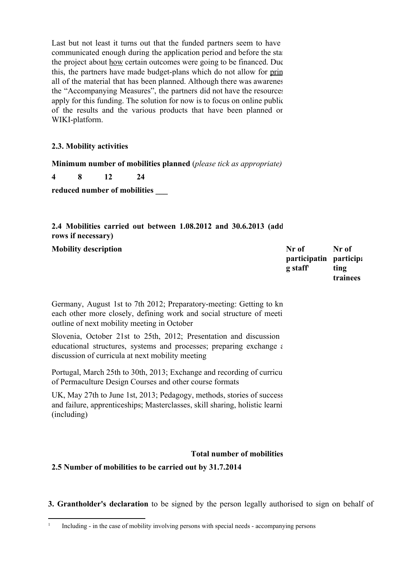Last but not least it turns out that the funded partners seem to have communicated enough during the application period and before the start the project about how certain outcomes were going to be financed. Due this, the partners have made budget-plans which do not allow for prin all of the material that has been planned. Although there was awarenes the "Accompanying Measures", the partners did not have the resources apply for this funding. The solution for now is to focus on online public of the results and the various products that have been planned on WIKI-platform.

#### **2.3. Mobility activities**

**Minimum number of mobilities planned** (*please tick as appropriate)*

**4 8 12 24**

**reduced number of mobilities \_\_\_**

### **2.4 Mobilities carried out between 1.08.2012 and 30.6.2013 (add rows if necessary)**

**Mobility description Nr of**

**participatin participa g staff 1 Nr of ting trainees**

Germany, August 1st to 7th 2012; Preparatory-meeting: Getting to kn each other more closely, defining work and social structure of meetings, outline of next mobility meeting in October

Slovenia, October 21st to 25th, 2012; Presentation and discussion educational structures, systems and processes; preparing exchange  $\epsilon$ discussion of curricula at next mobility meeting

Portugal, March 25th to 30th, 2013; Exchange and recording of curricular of Permaculture Design Courses and other course formats

UK, May 27th to June 1st, 2013; Pedagogy, methods, stories of success and failure, apprenticeships; Masterclasses, skill sharing, holistic learni (including)

#### **Total number of mobilities**

**2.5 Number of mobilities to be carried out by 31.7.2014**

**3. Grantholder's declaration** to be signed by the person legally authorised to sign on behalf of

<sup>1</sup> Including - in the case of mobility involving persons with special needs - accompanying persons